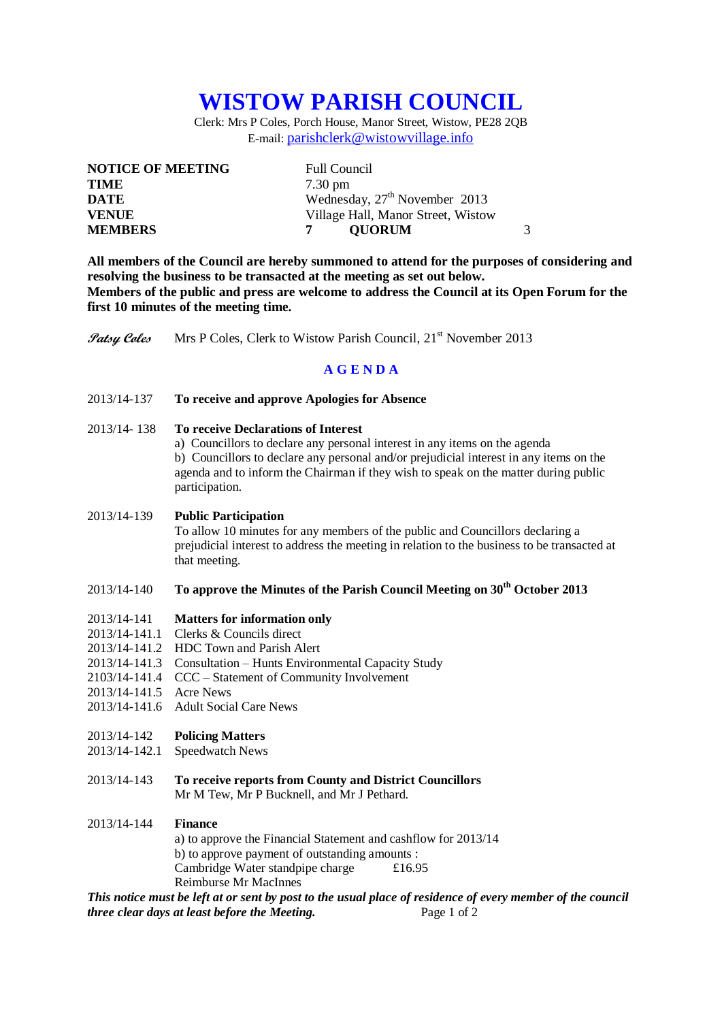# **WISTOW PARISH COUNCIL**

Clerk: Mrs P Coles, Porch House, Manor Street, Wistow, PE28 2QB E-mail: [parishclerk@wistowvillage.info](mailto:parishclerk@wistowvillage.info)

| <b>NOTICE OF MEETING</b> | <b>Full Council</b>                       |   |
|--------------------------|-------------------------------------------|---|
| <b>TIME</b>              | $7.30 \text{ pm}$                         |   |
| DATE                     | Wednesday, 27 <sup>th</sup> November 2013 |   |
| <b>VENUE</b>             | Village Hall, Manor Street, Wistow        |   |
| <b>MEMBERS</b>           | <b>OUORUM</b>                             | 3 |

**All members of the Council are hereby summoned to attend for the purposes of considering and resolving the business to be transacted at the meeting as set out below. Members of the public and press are welcome to address the Council at its Open Forum for the first 10 minutes of the meeting time.**

**Patsy Coles** Mrs P Coles, Clerk to Wistow Parish Council, 21<sup>st</sup> November 2013

# **A G E N D A**

# 2013/14-137 **To receive and approve Apologies for Absence**

- 2013/14- 138 **To receive Declarations of Interest**
	- a) Councillors to declare any personal interest in any items on the agenda

b) Councillors to declare any personal and/or prejudicial interest in any items on the agenda and to inform the Chairman if they wish to speak on the matter during public participation.

# 2013/14-139 **Public Participation**

To allow 10 minutes for any members of the public and Councillors declaring a prejudicial interest to address the meeting in relation to the business to be transacted at that meeting.

# 2013/14-140 **To approve the Minutes of the Parish Council Meeting on 30th October 2013**

#### 2013/14-141 **Matters for information only**

- 2013/14-141.1 Clerks & Councils direct
- 2013/14-141.2 HDC Town and Parish Alert
- 2013/14-141.3 Consultation Hunts Environmental Capacity Study
- 2103/14-141.4 CCC Statement of Community Involvement
- 2013/14-141.5 Acre News
- 2013/14-141.6 Adult Social Care News

# 2013/14-142 **Policing Matters**

- 2013/14-142.1 Speedwatch News
- 2013/14-143 **To receive reports from County and District Councillors** Mr M Tew, Mr P Bucknell, and Mr J Pethard.

# 2013/14-144 **Finance**

a) to approve the Financial Statement and cashflow for 2013/14 b) to approve payment of outstanding amounts : Cambridge Water standpipe charge £16.95 Reimburse Mr MacInnes

*This notice must be left at or sent by post to the usual place of residence of every member of the council three clear days at least before the Meeting.* Page 1 of 2